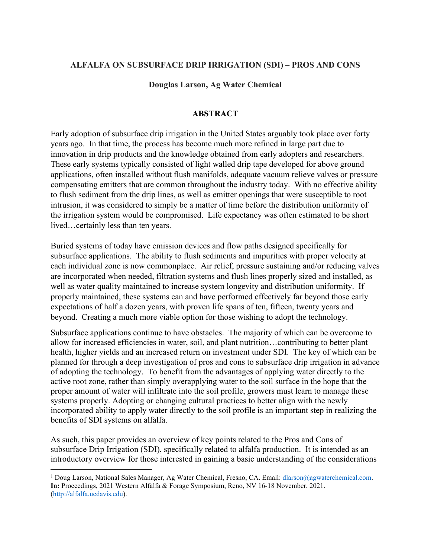# **ALFALFA ON SUBSURFACE DRIP IRRIGATION (SDI) – PROS AND CONS**

**Douglas Larson, Ag Water Chemical**

## **ABSTRACT**

Early adoption of subsurface drip irrigation in the United States arguably took place over forty years ago. In that time, the process has become much more refined in large part due to innovation in drip products and the knowledge obtained from early adopters and researchers. These early systems typically consisted of light walled drip tape developed for above ground applications, often installed without flush manifolds, adequate vacuum relieve valves or pressure compensating emitters that are common throughout the industry today. With no effective ability to flush sediment from the drip lines, as well as emitter openings that were susceptible to root intrusion, it was considered to simply be a matter of time before the distribution uniformity of the irrigation system would be compromised. Life expectancy was often estimated to be short lived…certainly less than ten years.

Buried systems of today have emission devices and flow paths designed specifically for subsurface applications. The ability to flush sediments and impurities with proper velocity at each individual zone is now commonplace. Air relief, pressure sustaining and/or reducing valves are incorporated when needed, filtration systems and flush lines properly sized and installed, as well as water quality maintained to increase system longevity and distribution uniformity. If properly maintained, these systems can and have performed effectively far beyond those early expectations of half a dozen years, with proven life spans of ten, fifteen, twenty years and beyond. Creating a much more viable option for those wishing to adopt the technology.

Subsurface applications continue to have obstacles. The majority of which can be overcome to allow for increased efficiencies in water, soil, and plant nutrition…contributing to better plant health, higher yields and an increased return on investment under SDI. The key of which can be planned for through a deep investigation of pros and cons to subsurface drip irrigation in advance of adopting the technology. To benefit from the advantages of applying water directly to the active root zone, rather than simply overapplying water to the soil surface in the hope that the proper amount of water will infiltrate into the soil profile, growers must learn to manage these systems properly. Adopting or changing cultural practices to better align with the newly incorporated ability to apply water directly to the soil profile is an important step in realizing the benefits of SDI systems on alfalfa.

As such, this paper provides an overview of key points related to the Pros and Cons of subsurface Drip Irrigation (SDI), specifically related to alfalfa production. It is intended as an introductory overview for those interested in gaining a basic understanding of the considerations

<sup>&</sup>lt;sup>1</sup> Doug Larson, National Sales Manager, Ag Water Chemical, Fresno, CA. Email: [dlarson@agwaterchemical.com.](mailto:dlarson@agwaterchemical.com) **In:** Proceedings, 2021 Western Alfalfa & Forage Symposium, Reno, NV 16-18 November, 2021. [\(http://alfalfa.ucdavis.edu\)](http://alfalfa.ucdavis.edu/).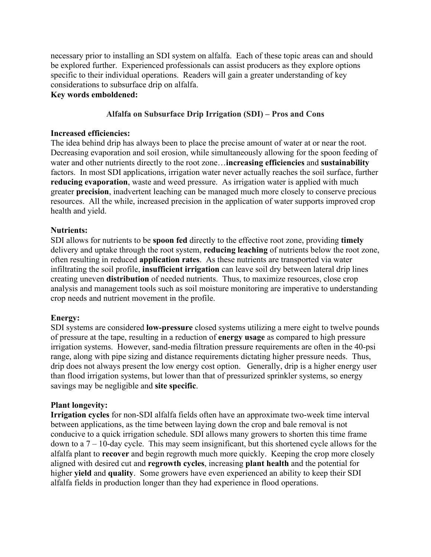necessary prior to installing an SDI system on alfalfa. Each of these topic areas can and should be explored further. Experienced professionals can assist producers as they explore options specific to their individual operations. Readers will gain a greater understanding of key considerations to subsurface drip on alfalfa.

## **Key words emboldened:**

# **Alfalfa on Subsurface Drip Irrigation (SDI) – Pros and Cons**

## **Increased efficiencies:**

The idea behind drip has always been to place the precise amount of water at or near the root. Decreasing evaporation and soil erosion, while simultaneously allowing for the spoon feeding of water and other nutrients directly to the root zone…**increasing efficiencies** and **sustainability** factors. In most SDI applications, irrigation water never actually reaches the soil surface, further **reducing evaporation**, waste and weed pressure. As irrigation water is applied with much greater **precision**, inadvertent leaching can be managed much more closely to conserve precious resources. All the while, increased precision in the application of water supports improved crop health and yield.

# **Nutrients:**

SDI allows for nutrients to be **spoon fed** directly to the effective root zone, providing **timely** delivery and uptake through the root system, **reducing leaching** of nutrients below the root zone, often resulting in reduced **application rates**. As these nutrients are transported via water infiltrating the soil profile, **insufficient irrigation** can leave soil dry between lateral drip lines creating uneven **distribution** of needed nutrients. Thus, to maximize resources, close crop analysis and management tools such as soil moisture monitoring are imperative to understanding crop needs and nutrient movement in the profile.

# **Energy:**

SDI systems are considered **low-pressure** closed systems utilizing a mere eight to twelve pounds of pressure at the tape, resulting in a reduction of **energy usage** as compared to high pressure irrigation systems. However, sand-media filtration pressure requirements are often in the 40-psi range, along with pipe sizing and distance requirements dictating higher pressure needs. Thus, drip does not always present the low energy cost option. Generally, drip is a higher energy user than flood irrigation systems, but lower than that of pressurized sprinkler systems, so energy savings may be negligible and **site specific**.

# **Plant longevity:**

**Irrigation cycles** for non-SDI alfalfa fields often have an approximate two-week time interval between applications, as the time between laying down the crop and bale removal is not conducive to a quick irrigation schedule. SDI allows many growers to shorten this time frame down to a  $7 - 10$ -day cycle. This may seem insignificant, but this shortened cycle allows for the alfalfa plant to **recover** and begin regrowth much more quickly. Keeping the crop more closely aligned with desired cut and **regrowth cycles**, increasing **plant health** and the potential for higher **yield** and **quality**. Some growers have even experienced an ability to keep their SDI alfalfa fields in production longer than they had experience in flood operations.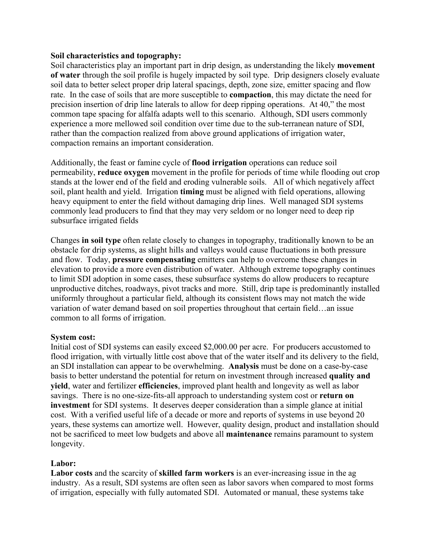#### **Soil characteristics and topography:**

Soil characteristics play an important part in drip design, as understanding the likely **movement of water** through the soil profile is hugely impacted by soil type. Drip designers closely evaluate soil data to better select proper drip lateral spacings, depth, zone size, emitter spacing and flow rate. In the case of soils that are more susceptible to **compaction**, this may dictate the need for precision insertion of drip line laterals to allow for deep ripping operations. At 40," the most common tape spacing for alfalfa adapts well to this scenario. Although, SDI users commonly experience a more mellowed soil condition over time due to the sub-terranean nature of SDI, rather than the compaction realized from above ground applications of irrigation water, compaction remains an important consideration.

Additionally, the feast or famine cycle of **flood irrigation** operations can reduce soil permeability, **reduce oxygen** movement in the profile for periods of time while flooding out crop stands at the lower end of the field and eroding vulnerable soils. All of which negatively affect soil, plant health and yield. Irrigation **timing** must be aligned with field operations, allowing heavy equipment to enter the field without damaging drip lines. Well managed SDI systems commonly lead producers to find that they may very seldom or no longer need to deep rip subsurface irrigated fields

Changes **in soil type** often relate closely to changes in topography, traditionally known to be an obstacle for drip systems, as slight hills and valleys would cause fluctuations in both pressure and flow. Today, **pressure compensating** emitters can help to overcome these changes in elevation to provide a more even distribution of water. Although extreme topography continues to limit SDI adoption in some cases, these subsurface systems do allow producers to recapture unproductive ditches, roadways, pivot tracks and more. Still, drip tape is predominantly installed uniformly throughout a particular field, although its consistent flows may not match the wide variation of water demand based on soil properties throughout that certain field…an issue common to all forms of irrigation.

### **System cost:**

Initial cost of SDI systems can easily exceed \$2,000.00 per acre. For producers accustomed to flood irrigation, with virtually little cost above that of the water itself and its delivery to the field, an SDI installation can appear to be overwhelming. **Analysis** must be done on a case-by-case basis to better understand the potential for return on investment through increased **quality and yield**, water and fertilizer **efficiencies**, improved plant health and longevity as well as labor savings. There is no one-size-fits-all approach to understanding system cost or **return on investment** for SDI systems. It deserves deeper consideration than a simple glance at initial cost. With a verified useful life of a decade or more and reports of systems in use beyond 20 years, these systems can amortize well. However, quality design, product and installation should not be sacrificed to meet low budgets and above all **maintenance** remains paramount to system longevity.

### **Labor:**

**Labor costs** and the scarcity of **skilled farm workers** is an ever-increasing issue in the ag industry. As a result, SDI systems are often seen as labor savors when compared to most forms of irrigation, especially with fully automated SDI. Automated or manual, these systems take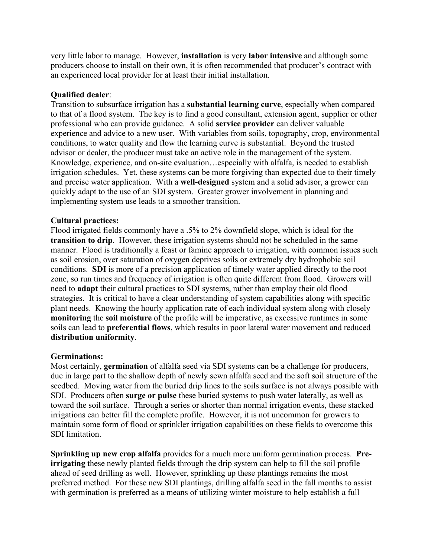very little labor to manage. However, **installation** is very **labor intensive** and although some producers choose to install on their own, it is often recommended that producer's contract with an experienced local provider for at least their initial installation.

## **Qualified dealer**:

Transition to subsurface irrigation has a **substantial learning curve**, especially when compared to that of a flood system. The key is to find a good consultant, extension agent, supplier or other professional who can provide guidance. A solid **service provider** can deliver valuable experience and advice to a new user. With variables from soils, topography, crop, environmental conditions, to water quality and flow the learning curve is substantial. Beyond the trusted advisor or dealer, the producer must take an active role in the management of the system. Knowledge, experience, and on-site evaluation…especially with alfalfa, is needed to establish irrigation schedules. Yet, these systems can be more forgiving than expected due to their timely and precise water application. With a **well-designed** system and a solid advisor, a grower can quickly adapt to the use of an SDI system. Greater grower involvement in planning and implementing system use leads to a smoother transition.

## **Cultural practices:**

Flood irrigated fields commonly have a .5% to 2% downfield slope, which is ideal for the **transition to drip**. However, these irrigation systems should not be scheduled in the same manner. Flood is traditionally a feast or famine approach to irrigation, with common issues such as soil erosion, over saturation of oxygen deprives soils or extremely dry hydrophobic soil conditions. **SDI** is more of a precision application of timely water applied directly to the root zone, so run times and frequency of irrigation is often quite different from flood. Growers will need to **adapt** their cultural practices to SDI systems, rather than employ their old flood strategies. It is critical to have a clear understanding of system capabilities along with specific plant needs. Knowing the hourly application rate of each individual system along with closely **monitoring** the **soil moisture** of the profile will be imperative, as excessive runtimes in some soils can lead to **preferential flows**, which results in poor lateral water movement and reduced **distribution uniformity**.

### **Germinations:**

Most certainly, **germination** of alfalfa seed via SDI systems can be a challenge for producers, due in large part to the shallow depth of newly sewn alfalfa seed and the soft soil structure of the seedbed. Moving water from the buried drip lines to the soils surface is not always possible with SDI. Producers often **surge or pulse** these buried systems to push water laterally, as well as toward the soil surface. Through a series or shorter than normal irrigation events, these stacked irrigations can better fill the complete profile. However, it is not uncommon for growers to maintain some form of flood or sprinkler irrigation capabilities on these fields to overcome this SDI limitation.

**Sprinkling up new crop alfalfa** provides for a much more uniform germination process. **Preirrigating** these newly planted fields through the drip system can help to fill the soil profile ahead of seed drilling as well. However, sprinkling up these plantings remains the most preferred method. For these new SDI plantings, drilling alfalfa seed in the fall months to assist with germination is preferred as a means of utilizing winter moisture to help establish a full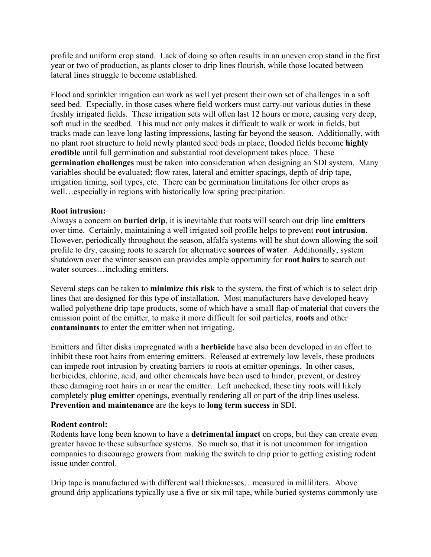profile and uniform crop stand. Lack of doing so often results in an uneven crop stand in the first year or two of production, as plants closer to drip lines flourish, while those located between lateral lines struggle to become established.

Flood and sprinkler irrigation can work as well yet present their own set of challenges in a soft seed bed. Especially, in those cases where field workers must carry-out various duties in these freshly irrigated fields. These irrigation sets will often last 12 hours or more, causing very deep, soft mud in the seedbed. This mud not only makes it difficult to walk or work in fields, but tracks made can leave long lasting impressions, lasting far beyond the season. Additionally, with no plant root structure to hold newly planted seed beds in place, flooded fields become **highly erodible** until full germination and substantial root development takes place. These **germination challenges** must be taken into consideration when designing an SDI system. Many variables should be evaluated; flow rates, lateral and emitter spacings, depth of drip tape, irrigation timing, soil types, etc. There can be germination limitations for other crops as well…especially in regions with historically low spring precipitation.

## **Root intrusion:**

Always a concern on **buried drip**, it is inevitable that roots will search out drip line **emitters** over time. Certainly, maintaining a well irrigated soil profile helps to prevent **root intrusion**. However, periodically throughout the season, alfalfa systems will be shut down allowing the soil profile to dry, causing roots to search for alternative **sources of water**. Additionally, system shutdown over the winter season can provides ample opportunity for **root hairs** to search out water sources…including emitters.

Several steps can be taken to **minimize this risk** to the system, the first of which is to select drip lines that are designed for this type of installation. Most manufacturers have developed heavy walled polyethene drip tape products, some of which have a small flap of material that covers the emission point of the emitter, to make it more difficult for soil particles, **roots** and other **contaminants** to enter the emitter when not irrigating.

Emitters and filter disks impregnated with a **herbicide** have also been developed in an effort to inhibit these root hairs from entering emitters. Released at extremely low levels, these products can impede root intrusion by creating barriers to roots at emitter openings. In other cases, herbicides, chlorine, acid, and other chemicals have been used to hinder, prevent, or destroy these damaging root hairs in or near the emitter. Left unchecked, these tiny roots will likely completely **plug emitter** openings, eventually rendering all or part of the drip lines useless. **Prevention and maintenance** are the keys to **long term success** in SDI.

# **Rodent control:**

Rodents have long been known to have a **detrimental impact** on crops, but they can create even greater havoc to these subsurface systems. So much so, that it is not uncommon for irrigation companies to discourage growers from making the switch to drip prior to getting existing rodent issue under control.

Drip tape is manufactured with different wall thicknesses…measured in milliliters. Above ground drip applications typically use a five or six mil tape, while buried systems commonly use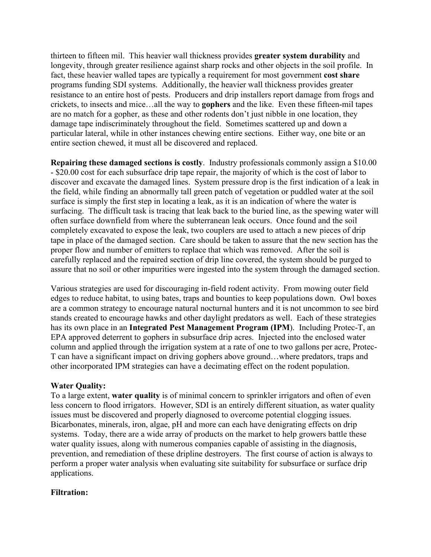thirteen to fifteen mil. This heavier wall thickness provides **greater system durability** and longevity, through greater resilience against sharp rocks and other objects in the soil profile. In fact, these heavier walled tapes are typically a requirement for most government **cost share** programs funding SDI systems. Additionally, the heavier wall thickness provides greater resistance to an entire host of pests. Producers and drip installers report damage from frogs and crickets, to insects and mice…all the way to **gophers** and the like. Even these fifteen-mil tapes are no match for a gopher, as these and other rodents don't just nibble in one location, they damage tape indiscriminately throughout the field. Sometimes scattered up and down a particular lateral, while in other instances chewing entire sections. Either way, one bite or an entire section chewed, it must all be discovered and replaced.

**Repairing these damaged sections is costly**. Industry professionals commonly assign a \$10.00 - \$20.00 cost for each subsurface drip tape repair, the majority of which is the cost of labor to discover and excavate the damaged lines. System pressure drop is the first indication of a leak in the field, while finding an abnormally tall green patch of vegetation or puddled water at the soil surface is simply the first step in locating a leak, as it is an indication of where the water is surfacing. The difficult task is tracing that leak back to the buried line, as the spewing water will often surface downfield from where the subterranean leak occurs. Once found and the soil completely excavated to expose the leak, two couplers are used to attach a new pieces of drip tape in place of the damaged section. Care should be taken to assure that the new section has the proper flow and number of emitters to replace that which was removed. After the soil is carefully replaced and the repaired section of drip line covered, the system should be purged to assure that no soil or other impurities were ingested into the system through the damaged section.

Various strategies are used for discouraging in-field rodent activity. From mowing outer field edges to reduce habitat, to using bates, traps and bounties to keep populations down. Owl boxes are a common strategy to encourage natural nocturnal hunters and it is not uncommon to see bird stands created to encourage hawks and other daylight predators as well. Each of these strategies has its own place in an **Integrated Pest Management Program (IPM**). Including Protec-T, an EPA approved deterrent to gophers in subsurface drip acres. Injected into the enclosed water column and applied through the irrigation system at a rate of one to two gallons per acre, Protec-T can have a significant impact on driving gophers above ground…where predators, traps and other incorporated IPM strategies can have a decimating effect on the rodent population.

### **Water Quality:**

To a large extent, **water quality** is of minimal concern to sprinkler irrigators and often of even less concern to flood irrigators. However, SDI is an entirely different situation, as water quality issues must be discovered and properly diagnosed to overcome potential clogging issues. Bicarbonates, minerals, iron, algae, pH and more can each have denigrating effects on drip systems. Today, there are a wide array of products on the market to help growers battle these water quality issues, along with numerous companies capable of assisting in the diagnosis, prevention, and remediation of these dripline destroyers. The first course of action is always to perform a proper water analysis when evaluating site suitability for subsurface or surface drip applications.

#### **Filtration:**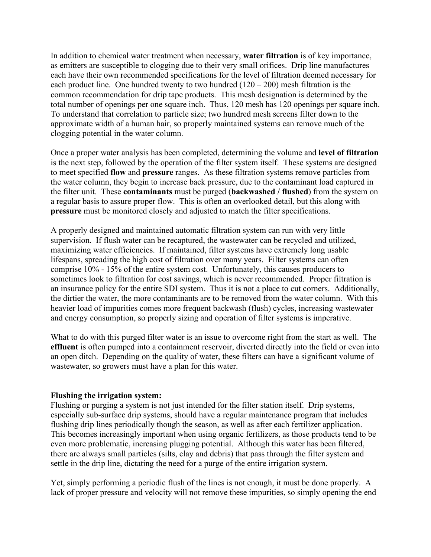In addition to chemical water treatment when necessary, **water filtration** is of key importance, as emitters are susceptible to clogging due to their very small orifices. Drip line manufactures each have their own recommended specifications for the level of filtration deemed necessary for each product line. One hundred twenty to two hundred  $(120 - 200)$  mesh filtration is the common recommendation for drip tape products. This mesh designation is determined by the total number of openings per one square inch. Thus, 120 mesh has 120 openings per square inch. To understand that correlation to particle size; two hundred mesh screens filter down to the approximate width of a human hair, so properly maintained systems can remove much of the clogging potential in the water column.

Once a proper water analysis has been completed, determining the volume and **level of filtration** is the next step, followed by the operation of the filter system itself. These systems are designed to meet specified **flow** and **pressure** ranges. As these filtration systems remove particles from the water column, they begin to increase back pressure, due to the contaminant load captured in the filter unit. These **contaminants** must be purged (**backwashed / flushed**) from the system on a regular basis to assure proper flow. This is often an overlooked detail, but this along with **pressure** must be monitored closely and adjusted to match the filter specifications.

A properly designed and maintained automatic filtration system can run with very little supervision. If flush water can be recaptured, the wastewater can be recycled and utilized, maximizing water efficiencies. If maintained, filter systems have extremely long usable lifespans, spreading the high cost of filtration over many years. Filter systems can often comprise 10% - 15% of the entire system cost. Unfortunately, this causes producers to sometimes look to filtration for cost savings, which is never recommended. Proper filtration is an insurance policy for the entire SDI system. Thus it is not a place to cut corners. Additionally, the dirtier the water, the more contaminants are to be removed from the water column. With this heavier load of impurities comes more frequent backwash (flush) cycles, increasing wastewater and energy consumption, so properly sizing and operation of filter systems is imperative.

What to do with this purged filter water is an issue to overcome right from the start as well. The **effluent** is often pumped into a containment reservoir, diverted directly into the field or even into an open ditch. Depending on the quality of water, these filters can have a significant volume of wastewater, so growers must have a plan for this water.

### **Flushing the irrigation system:**

Flushing or purging a system is not just intended for the filter station itself. Drip systems, especially sub-surface drip systems, should have a regular maintenance program that includes flushing drip lines periodically though the season, as well as after each fertilizer application. This becomes increasingly important when using organic fertilizers, as those products tend to be even more problematic, increasing plugging potential. Although this water has been filtered, there are always small particles (silts, clay and debris) that pass through the filter system and settle in the drip line, dictating the need for a purge of the entire irrigation system.

Yet, simply performing a periodic flush of the lines is not enough, it must be done properly. A lack of proper pressure and velocity will not remove these impurities, so simply opening the end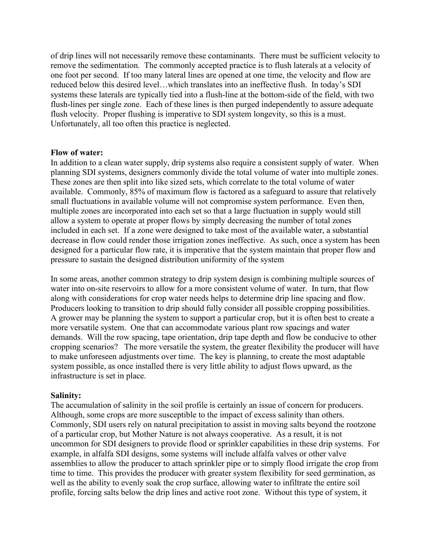of drip lines will not necessarily remove these contaminants. There must be sufficient velocity to remove the sedimentation. The commonly accepted practice is to flush laterals at a velocity of one foot per second. If too many lateral lines are opened at one time, the velocity and flow are reduced below this desired level…which translates into an ineffective flush. In today's SDI systems these laterals are typically tied into a flush-line at the bottom-side of the field, with two flush-lines per single zone. Each of these lines is then purged independently to assure adequate flush velocity. Proper flushing is imperative to SDI system longevity, so this is a must. Unfortunately, all too often this practice is neglected.

#### **Flow of water:**

In addition to a clean water supply, drip systems also require a consistent supply of water. When planning SDI systems, designers commonly divide the total volume of water into multiple zones. These zones are then split into like sized sets, which correlate to the total volume of water available. Commonly, 85% of maximum flow is factored as a safeguard to assure that relatively small fluctuations in available volume will not compromise system performance. Even then, multiple zones are incorporated into each set so that a large fluctuation in supply would still allow a system to operate at proper flows by simply decreasing the number of total zones included in each set. If a zone were designed to take most of the available water, a substantial decrease in flow could render those irrigation zones ineffective. As such, once a system has been designed for a particular flow rate, it is imperative that the system maintain that proper flow and pressure to sustain the designed distribution uniformity of the system

In some areas, another common strategy to drip system design is combining multiple sources of water into on-site reservoirs to allow for a more consistent volume of water. In turn, that flow along with considerations for crop water needs helps to determine drip line spacing and flow. Producers looking to transition to drip should fully consider all possible cropping possibilities. A grower may be planning the system to support a particular crop, but it is often best to create a more versatile system. One that can accommodate various plant row spacings and water demands. Will the row spacing, tape orientation, drip tape depth and flow be conducive to other cropping scenarios? The more versatile the system, the greater flexibility the producer will have to make unforeseen adjustments over time. The key is planning, to create the most adaptable system possible, as once installed there is very little ability to adjust flows upward, as the infrastructure is set in place.

### **Salinity:**

The accumulation of salinity in the soil profile is certainly an issue of concern for producers. Although, some crops are more susceptible to the impact of excess salinity than others. Commonly, SDI users rely on natural precipitation to assist in moving salts beyond the rootzone of a particular crop, but Mother Nature is not always cooperative. As a result, it is not uncommon for SDI designers to provide flood or sprinkler capabilities in these drip systems. For example, in alfalfa SDI designs, some systems will include alfalfa valves or other valve assemblies to allow the producer to attach sprinkler pipe or to simply flood irrigate the crop from time to time. This provides the producer with greater system flexibility for seed germination, as well as the ability to evenly soak the crop surface, allowing water to infiltrate the entire soil profile, forcing salts below the drip lines and active root zone. Without this type of system, it